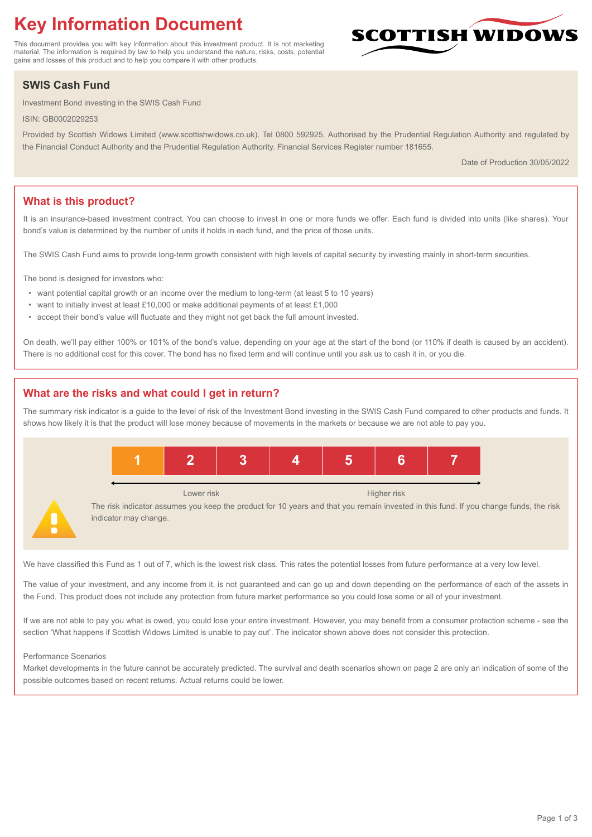# **Key Information Document**

This document provides you with key information about this investment product. It is not marketing material. The information is required by law to help you understand the nature, risks, costs, potential gains and losses of this product and to help you compare it with other products.

## **SWIS Cash Fund**

Investment Bond investing in the SWIS Cash Fund

ISIN: GB0002029253

Provided by Scottish Widows Limited (www.scottishwidows.co.uk). Tel 0800 592925. Authorised by the Prudential Regulation Authority and regulated by the Financial Conduct Authority and the Prudential Regulation Authority. Financial Services Register number 181655.

Date of Production 30/05/2022

**SCOTTISH WIDOW** 

## **What is this product?**

It is an insurance-based investment contract. You can choose to invest in one or more funds we offer. Each fund is divided into units (like shares). Your bond's value is determined by the number of units it holds in each fund, and the price of those units.

The SWIS Cash Fund aims to provide long-term growth consistent with high levels of capital security by investing mainly in short-term securities.

The bond is designed for investors who:

- want potential capital growth or an income over the medium to long-term (at least 5 to 10 years)
- want to initially invest at least £10,000 or make additional payments of at least £1,000
- accept their bond's value will fluctuate and they might not get back the full amount invested.

On death, we'll pay either 100% or 101% of the bond's value, depending on your age at the start of the bond (or 110% if death is caused by an accident). There is no additional cost for this cover. The bond has no fixed term and will continue until you ask us to cash it in, or you die.

## **What are the risks and what could I get in return?**

The summary risk indicator is a guide to the level of risk of the Investment Bond investing in the SWIS Cash Fund compared to other products and funds. It shows how likely it is that the product will lose money because of movements in the markets or because we are not able to pay you.



We have classified this Fund as 1 out of 7, which is the lowest risk class. This rates the potential losses from future performance at a very low level.

The value of your investment, and any income from it, is not guaranteed and can go up and down depending on the performance of each of the assets in the Fund. This product does not include any protection from future market performance so you could lose some or all of your investment.

If we are not able to pay you what is owed, you could lose your entire investment. However, you may benefit from a consumer protection scheme - see the section 'What happens if Scottish Widows Limited is unable to pay out'. The indicator shown above does not consider this protection.

#### Performance Scenarios

Market developments in the future cannot be accurately predicted. The survival and death scenarios shown on page 2 are only an indication of some of the possible outcomes based on recent returns. Actual returns could be lower.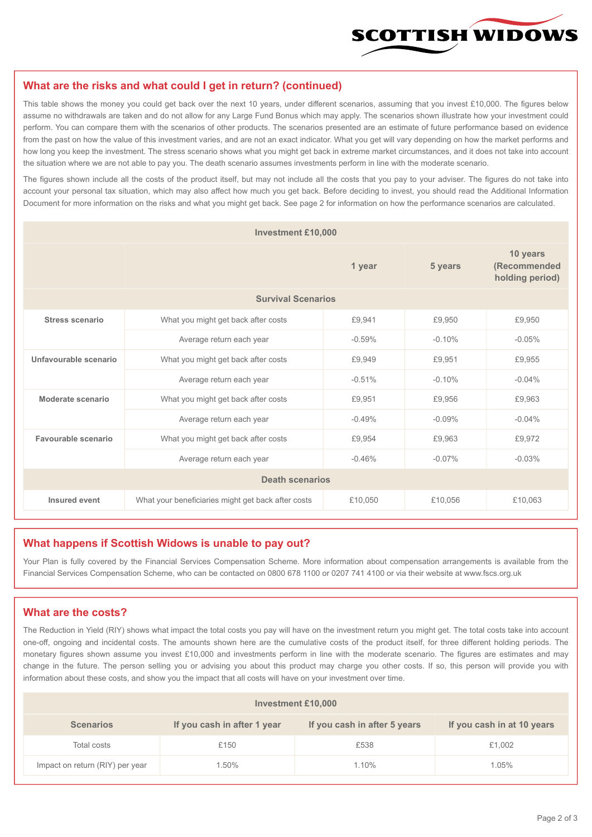

#### **What are the risks and what could I get in return? (continued)**

This table shows the money you could get back over the next 10 years, under different scenarios, assuming that you invest £10,000. The figures below assume no withdrawals are taken and do not allow for any Large Fund Bonus which may apply. The scenarios shown illustrate how your investment could perform. You can compare them with the scenarios of other products. The scenarios presented are an estimate of future performance based on evidence from the past on how the value of this investment varies, and are not an exact indicator. What you get will vary depending on how the market performs and how long you keep the investment. The stress scenario shows what you might get back in extreme market circumstances, and it does not take into account the situation where we are not able to pay you. The death scenario assumes investments perform in line with the moderate scenario.

The figures shown include all the costs of the product itself, but may not include all the costs that you pay to your adviser. The figures do not take into account your personal tax situation, which may also affect how much you get back. Before deciding to invest, you should read the Additional Information Document for more information on the risks and what you might get back. See page 2 for information on how the performance scenarios are calculated.

| <b>Investment £10,000</b> |                                                    |          |          |                                             |  |  |
|---------------------------|----------------------------------------------------|----------|----------|---------------------------------------------|--|--|
|                           | 1 year                                             |          | 5 years  | 10 years<br>(Recommended<br>holding period) |  |  |
| <b>Survival Scenarios</b> |                                                    |          |          |                                             |  |  |
| <b>Stress scenario</b>    | What you might get back after costs                | £9,941   | £9,950   | £9,950                                      |  |  |
|                           | Average return each year                           | $-0.59%$ | $-0.10%$ | $-0.05%$                                    |  |  |
| Unfavourable scenario     | What you might get back after costs<br>£9,949      |          | £9,951   | £9,955                                      |  |  |
|                           | Average return each year                           | $-0.51%$ | $-0.10%$ | $-0.04%$                                    |  |  |
| Moderate scenario         | What you might get back after costs                | £9,951   | £9,956   | £9.963                                      |  |  |
|                           | Average return each year                           | $-0.49%$ | $-0.09%$ | $-0.04%$                                    |  |  |
| Favourable scenario       | What you might get back after costs                | £9,954   | £9,963   | £9,972                                      |  |  |
| Average return each year  |                                                    | $-0.46%$ | $-0.07%$ | $-0.03%$                                    |  |  |
| <b>Death scenarios</b>    |                                                    |          |          |                                             |  |  |
| Insured event             | What your beneficiaries might get back after costs | £10,050  | £10,056  | £10,063                                     |  |  |

#### **What happens if Scottish Widows is unable to pay out?**

Your Plan is fully covered by the Financial Services Compensation Scheme. More information about compensation arrangements is available from the Financial Services Compensation Scheme, who can be contacted on 0800 678 1100 or 0207 741 4100 or via their website at www.fscs.org.uk

## **What are the costs?**

The Reduction in Yield (RIY) shows what impact the total costs you pay will have on the investment return you might get. The total costs take into account one-off, ongoing and incidental costs. The amounts shown here are the cumulative costs of the product itself, for three different holding periods. The monetary figures shown assume you invest £10,000 and investments perform in line with the moderate scenario. The figures are estimates and may change in the future. The person selling you or advising you about this product may charge you other costs. If so, this person will provide you with information about these costs, and show you the impact that all costs will have on your investment over time.

| <b>Investment £10,000</b>       |                             |                              |                            |  |  |  |
|---------------------------------|-----------------------------|------------------------------|----------------------------|--|--|--|
| <b>Scenarios</b>                | If you cash in after 1 year | If you cash in after 5 years | If you cash in at 10 years |  |  |  |
| Total costs                     | £150                        | £538                         | £1,002                     |  |  |  |
| Impact on return (RIY) per year | 1.50%                       | 1.10%                        | 1.05%                      |  |  |  |